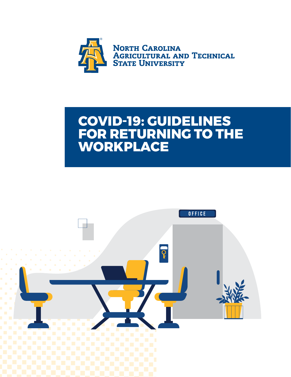

### **COVID-19: GUIDELINES FOR RETURNING TO THE WORKPLACE**

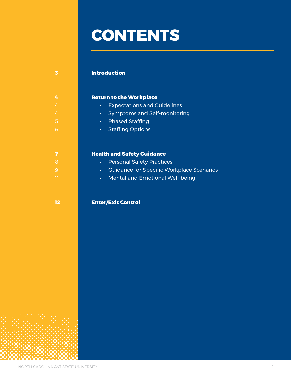# **CONTENTS**

#### **Introduction**

#### **Return to the Workplace**

- **Expectations and Guidelines**
- 4 Symptoms and Self-monitoring
- **Phased Staffing**
- **COVID-19 •** Staffing Options

#### **Health and Safety Guidance**

- **8 Personal Safety Practices**
- • Guidance for Specific Workplace Scenarios
- • Mental and Emotional Well-being

#### **Enter/Exit Control**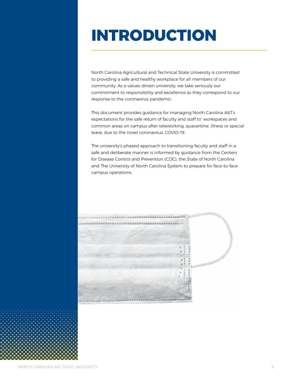# **INTRODUCTION**

North Carolina Agricultural and Technical State University is committed to providing a safe and healthy workplace for all members of our community. As a values-driven university, we take seriously our commitment to responsibility and excellence as they correspond to our response to the coronavirus pandemic.

This document provides guidance for managing North Carolina A&T's expectations for the safe return of faculty and staff to' workspaces and common areas on campus after teleworking, quarantine, illness or special leave, due to the novel coronavirus, COVID-19.

The university's phased approach to transitioning faculty and staff in a safe and deliberate manner is informed by guidance from the Centers for Disease Control and Prevention (CDC), the State of North Carolina and The University of North Carolina System to prepare for face-to-face campus operations.

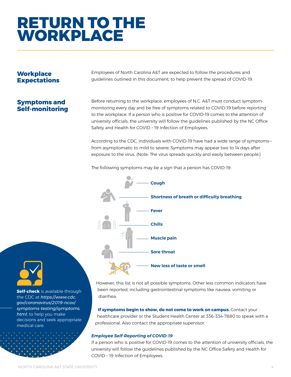## **RETURN TO THE WORKPLACE**

#### **Workplace Expectations**

Employees of North Carolina A&T are expected to follow the procedures and guidelines outlined in this document, to help prevent the spread of COVID-19.

### **Symptoms and Self-monitoring**

Before returning to the workplace, employees of N.C. A&T must conduct symptom monitoring every day and be free of symptoms related to COVID-19 before reporting to the workplace. If a person who is positive for COVID-19 comes to the attention of university officials, the university will follow the guidelines published by the NC Office Safety and Health for COVID – 19 Infection of Employees.

According to the CDC, individuals with COVID-19 have had a wide range of symptoms from asymptomatic to mild to severe. Symptoms may appear two to 14 days after exposure to the virus. (Note: The virus spreads quickly and easily between people.)

The following symptoms may be a sign that a person has COVID-19:



However, this list is not all possible symptoms. Other less common indicators have been reported, including gastrointestinal symptoms like nausea, vomiting or diarrhea.

**If symptoms begin to show, do not come to work on campus.** Contact your healthcare provider or the Student Health Center at 336-334-7880 to speak with a professional. Also contact the appropriate supervisor.

#### *Employee Self-Reporting of COVID-19*

If a person who is positive for COVID-19 comes to the attention of university officials, the university will follow the guidelines published by the NC Office Safety and Health for COVID – 19 Infection of Employees.



**Self-check** is available through the CDC at *https://www.cdc. gov/coronavirus/2019-ncov/ symptoms-testing/symptoms. html*, to help you make decisions and seek appropriate medical care.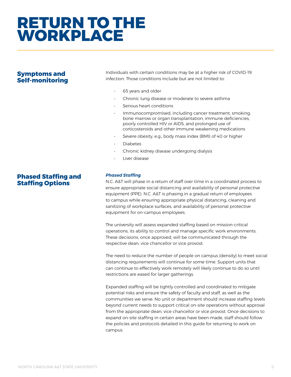### **RETURN TO THE WORKPLACE**

#### **Symptoms and Self-monitoring**

• 65 years and older

Individuals with certain conditions may be at a higher risk of COVID-19

• Chronic lung disease or moderate to severe asthma

infection. Those conditions include but are not limited to:

- Serious heart conditions
- Immunocompromised, including cancer treatment, smoking, bone marrow or organ transplantation, immune deficiencies, poorly controlled HIV or AIDS, and prolonged use of corticosteroids and other immune weakening medications
- Severe obesity, e.g., body mass index (BMI) of 40 or higher
- Diabetes
- Chronic kidney disease undergoing dialysis
- Liver disease

#### **Phased Staffing and Staffing Options**

#### *Phased Staffing*

N.C. A&T will phase in a return of staff over time in a coordinated process to ensure appropriate social distancing and availability of personal protective equipment (PPE). N.C. A&T is phasing in a gradual return of employees to campus while ensuring appropriate physical distancing, cleaning and sanitizing of workplace surfaces, and availability of personal protective equipment for on-campus employees.

The university will assess expanded staffing based on mission-critical operations, its ability to control and manage specific work environments. These decisions, once approved, will be communicated through the respective dean, vice chancellor or vice provost.

The need to reduce the number of people on campus (density) to meet social distancing requirements will continue for some time. Support units that can continue to effectively work remotely will likely continue to do so until restrictions are eased for larger gatherings.

Expanded staffing will be tightly controlled and coordinated to mitigate potential risks and ensure the safety of faculty and staff, as well as the communities we serve. No unit or department should increase staffing levels beyond current needs to support critical on-site operations without approval from the appropriate dean, vice chancellor or vice provost. Once decisions to expand on-site staffing in certain areas have been made, staff should follow the policies and protocols detailed in this guide for returning to work on campus.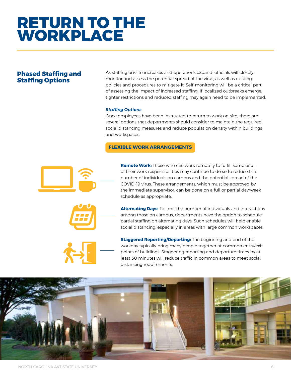## **RETURN TO THE WORKPLACE**

#### **Phased Staffing and Staffing Options**

As staffing on-site increases and operations expand, officials will closely monitor and assess the potential spread of the virus, as well as existing policies and procedures to mitigate it. Self-monitoring will be a critical part of assessing the impact of increased staffing. If localized outbreaks emerge, tighter restrictions and reduced staffing may again need to be implemented.

#### *Staffing Options*

Once employees have been instructed to return to work on-site, there are several options that departments should consider to maintain the required social distancing measures and reduce population density within buildings and workspaces.

#### **FLEXIBLE WORK ARRANGEMENTS**



**Remote Work:** Those who can work remotely to fulfill some or all of their work responsibilities may continue to do so to reduce the number of individuals on campus and the potential spread of the COVID-19 virus. These arrangements, which must be approved by the immediate supervisor, can be done on a full or partial day/week schedule as appropriate.



**Staggered Reporting/Departing:** The beginning and end of the workday typically bring many people together at common entry/exit points of buildings. Staggering reporting and departure times by at least 30 minutes will reduce traffic in common areas to meet social distancing requirements.

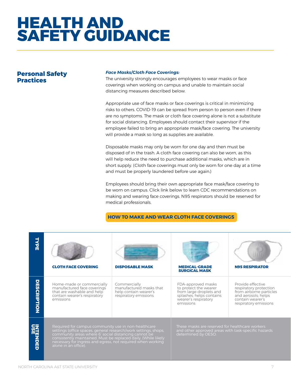#### **Personal Safety Practices**

#### *Face Masks/Cloth Face Coverings:*

The university strongly encourages employees to wear masks or face coverings when working on campus and unable to maintain social distancing measures described below.

Appropriate use of face masks or face coverings is critical in minimizing risks to others. COVID-19 can be spread from person to person even if there are no symptoms. The mask or cloth face covering alone is not a substitute for social distancing. Employees should contact their supervisor if the employee failed to bring an appropriate mask/face covering. The university will provide a mask so long as supplies are available.

Disposable masks may only be worn for one day and then must be disposed of in the trash. A cloth face covering can also be worn, as this will help reduce the need to purchase additional masks, which are in short supply. (Cloth face coverings must only be worn for one day at a time and must be properly laundered before use again.)

Employees should bring their own appropriate face mask/face covering to be worn on campus. Click link below to learn CDC recommendations on making and wearing face coverings. N95 respirators should be reserved for medical professionals.

#### **HOW TO MAKE AND WEAR CLOTH FACE COVERINGS**

| TYPE                   | <b>CLOTH FACE COVERING</b>                                                                                                                                                                                                                                                                                                              | <b>DISPOSABLE MASK</b>                                                                    | <b>MEDICAL-GRADE</b><br><b>SURGICAL MASK</b>                                                                                            | <b>N95 RESPIRATOR</b>                                                                                                                      |
|------------------------|-----------------------------------------------------------------------------------------------------------------------------------------------------------------------------------------------------------------------------------------------------------------------------------------------------------------------------------------|-------------------------------------------------------------------------------------------|-----------------------------------------------------------------------------------------------------------------------------------------|--------------------------------------------------------------------------------------------------------------------------------------------|
| <b>DESCRIPTION</b>     | Home-made or commercially<br>manufactured face coverings<br>that are washable and help<br>contain wearer's respiratory<br>emissions                                                                                                                                                                                                     | Commercially<br>manufactured masks that<br>help contain wearer's<br>respiratory emissions | FDA-approved masks<br>to protect the wearer<br>from large droplets and<br>splashes; helps contains<br>wearer's respiratory<br>emissions | Provide effective<br>respiratory protection<br>from airborne particles<br>and aerosols; helps<br>contain wearer's<br>respiratory emissions |
| <b>INTENDED</b><br>USE | Required for campus community use in non-healthcare<br>settings (office spaces, general research/work settings, shops,<br>community areas where 6' social distancing cannot be<br>consistently maintained. Must be replaced daily. (While likely<br>necessary for ingress and egress, not required when working<br>alone in an office). |                                                                                           | These masks are reserved for healthcare workers<br>and other approved areas with task-specific hazards<br>determined by OESO.           |                                                                                                                                            |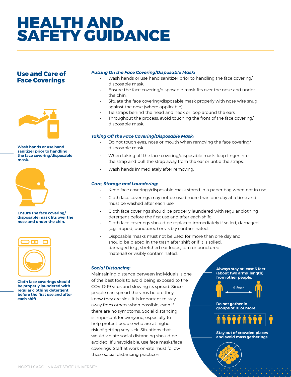#### **Use and Care of Face Coverings**



**Wash hands or use hand sanitizer prior to handling the face covering/disposable mask.**



**Ensure the face covering/ disposable mask fits over the nose and under the chin.**



**Cloth face coverings should be properly laundered with regular clothing detergent before the first use and after each shift.** 

#### *Putting On the Face Covering/Disposable Mask:*

- Wash hands or use hand sanitizer prior to handling the face covering/ disposable mask.
- Ensure the face covering/disposable mask fits over the nose and under the chin.
- Situate the face covering/disposable mask properly with nose wire snug against the nose (where applicable).
- Tie straps behind the head and neck or loop around the ears.
- Throughout the process, avoid touching the front of the face covering/ disposable mask.

#### *Taking Off the Face Covering/Disposable Mask:*

- Do not touch eyes, nose or mouth when removing the face covering/ disposable mask.
- When taking off the face covering/disposable mask, loop finger into the strap and pull the strap away from the ear or untie the straps.
- Wash hands immediately after removing.

#### *Care, Storage and Laundering:*

- Keep face coverings/disposable mask stored in a paper bag when not in use.
- Cloth face coverings may not be used more than one day at a time and must be washed after each use.
- Cloth face coverings should be properly laundered with regular clothing detergent before the first use and after each shift.
- Cloth face coverings should be replaced immediately if soiled, damaged (e.g., ripped, punctured) or visibly contaminated.
- Disposable masks must not be used for more than one day and should be placed in the trash after shift or if it is soiled, damaged (e.g., stretched ear loops, torn or punctured material) or visibly contaminated.

#### *Social Distancing:*

Maintaining distance between individuals is one of the best tools to avoid being exposed to the COVID-19 virus and slowing its spread. Since people can spread the virus before they know they are sick, it is important to stay away from others when possible, even if there are no symptoms. Social distancing is important for everyone, especially to help protect people who are at higher risk of getting very sick. Situations that would violate social distancing should be avoided. If unavoidable, use face masks/face coverings. Staff at work on-site must follow these social distancing practices:

**Always stay at least 6 feet (about two arms' length) from other people.**



**Do not gather in groups of 10 or more.**



**Stay out of crowded places and avoid mass gatherings.**

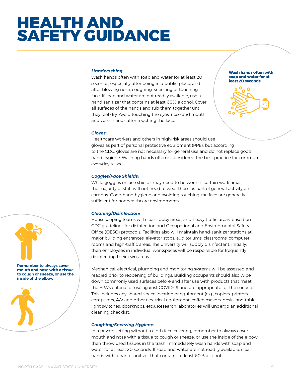#### *Handwashing:*

Wash hands often with soap and water for at least 20 seconds, especially after being in a public place, and after blowing nose, coughing, sneezing or touching face. If soap and water are not readily available, use a hand sanitizer that contains at least 60% alcohol. Cover all surfaces of the hands and rub them together until they feel dry. Avoid touching the eyes, nose and mouth, and wash hands after touching the face.

**Wash hands often with soap and water for at least 20 seconds.**



#### *Gloves:*

Healthcare workers and others in high-risk areas should use gloves as part of personal protective equipment (PPE), but according to the CDC, gloves are not necessary for general use and do not replace good hand hygiene. Washing hands often is considered the best practice for common everyday tasks.

#### *Goggles/Face Shields:*

While goggles or face shields may need to be worn in certain work areas, the majority of staff will not need to wear them as part of general activity on campus. Good hand hygiene and avoiding touching the face are generally sufficient for nonhealthcare environments.

#### *Cleaning/Disinfection:*

Housekeeping teams will clean lobby areas, and heavy traffic areas, based on CDC guidelines for disinfection and Occupational and Environmental Safety Office (OESO) protocols. Facilities also will maintain hand-sanitizer stations at major building entrances, elevator stops, auditoriums, classrooms, computer rooms and high-traffic areas. The university will supply disinfectant, initially, then employees in individual workspaces will be responsible for frequently disinfecting their own areas.

Mechanical, electrical, plumbing and monitoring systems will be assessed and readied prior to reopening of buildings. Building occupants should also wipe down commonly used surfaces before and after use with products that meet the EPA's criteria for use against COVID-19 and are appropriate for the surface. This includes any shared-space location or equipment (e.g., copiers, printers, computers, A/V and other electrical equipment, coffee makers, desks and tables, light switches, doorknobs, etc.). Research laboratories will undergo an additional cleaning checklist.

#### *Coughing/Sneezing Hygiene:*

In a private setting without a cloth face covering, remember to always cover mouth and nose with a tissue to cough or sneeze, or use the inside of the elbow, then throw used tissues in the trash. Immediately wash hands with soap and water for at least 20 seconds. If soap and water are not readily available, clean hands with a hand sanitizer that contains at least 60% alcohol.



**Remember to always cover mouth and nose with a tissue to cough or sneeze, or use the inside of the elbow,** 

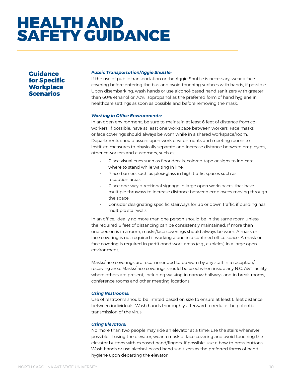**Guidance for Specific Workplace Scenarios** 

#### *Public Transportation/Aggie Shuttle:*

If the use of public transportation or the Aggie Shuttle is necessary, wear a face covering before entering the bus and avoid touching surfaces with hands, if possible. Upon disembarking, wash hands or use alcohol-based hand sanitizers with greater than 60% ethanol or 70% isopropanol as the preferred form of hand hygiene in healthcare settings as soon as possible and before removing the mask.

#### *Working in Office Environments:*

In an open environment, be sure to maintain at least 6 feet of distance from coworkers. If possible, have at least one workspace between workers. Face masks or face coverings should always be worn while in a shared workspace/room. Departments should assess open work environments and meeting rooms to institute measures to physically separate and increase distance between employees, other coworkers and customers, such as:

- Place visual cues such as floor decals, colored tape or signs to indicate where to stand while waiting in line.
- Place barriers such as plexi-glass in high traffic spaces such as reception areas.
- Place one-way directional signage in large open workspaces that have multiple thruways to increase distance between employees moving through the space.
- Consider designating specific stairways for up or down traffic if building has multiple stairwells.

In an office, ideally no more than one person should be in the same room unless the required 6 feet of distancing can be consistently maintained. If more than one person is in a room, masks/face coverings should always be worn. A mask or face covering is not required if working alone in a confined office space. A mask or face covering is required in partitioned work areas (e.g., cubicles) in a large open environment.

Masks/face coverings are recommended to be worn by any staff in a reception/ receiving area. Masks/face coverings should be used when inside any N.C. A&T facility where others are present, including walking in narrow hallways and in break rooms, conference rooms and other meeting locations.

#### *Using Restrooms:*

Use of restrooms should be limited based on size to ensure at least 6 feet distance between individuals. Wash hands thoroughly afterward to reduce the potential transmission of the virus.

#### *Using Elevators:*

No more than two people may ride an elevator at a time; use the stairs whenever possible. If using the elevator, wear a mask or face covering and avoid touching the elevator buttons with exposed hand/fingers. If possible, use elbow to press buttons. Wash hands or use alcohol-based hand sanitizers as the preferred forms of hand hygiene upon departing the elevator.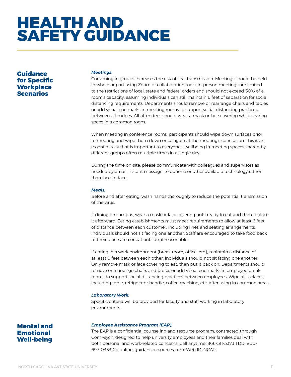**Guidance for Specific Workplace Scenarios** 

#### *Meetings:*

Convening in groups increases the risk of viral transmission. Meetings should be held in whole or part using Zoom or collaboration tools. In-person meetings are limited to the restrictions of local, state and federal orders and should not exceed 50% of a room's capacity, assuming individuals can still maintain 6 feet of separation for social distancing requirements. Departments should remove or rearrange chairs and tables or add visual cue marks in meeting rooms to support social distancing practices between attendees. All attendees should wear a mask or face covering while sharing space in a common room.

When meeting in conference rooms, participants should wipe down surfaces prior to meeting and wipe them down once again at the meeting's conclusion. This is an essential task that is important to everyone's wellbeing in meeting spaces shared by different groups often multiple times in a single day.

During the time on-site, please communicate with colleagues and supervisors as needed by email, instant message, telephone or other available technology rather than face-to-face.

#### *Meals:*

Before and after eating, wash hands thoroughly to reduce the potential transmission of the virus.

If dining on campus, wear a mask or face covering until ready to eat and then replace it afterward. Eating establishments must meet requirements to allow at least 6 feet of distance between each customer, including lines and seating arrangements. Individuals should not sit facing one another. Staff are encouraged to take food back to their office area or eat outside, if reasonable.

If eating in a work environment (break room, office, etc.), maintain a distance of at least 6 feet between each other. Individuals should not sit facing one another. Only remove mask or face covering to eat, then put it back on. Departments should remove or rearrange chairs and tables or add visual cue marks in employee break rooms to support social distancing practices between employees. Wipe all surfaces, including table, refrigerator handle, coffee machine, etc. after using in common areas.

#### *Laboratory Work:*

Specific criteria will be provided for faculty and staff working in laboratory environments.

**Mental and Emotional Well-being** 

#### *Employee Assistance Program (EAP):*

The EAP is a confidential counseling and resource program, contracted through ComPsych, designed to help university employees and their families deal with both personal and work-related concerns. Call anytime: 866-511-3373 TDD: 800- 697-0353 Go online: [guidanceresources.com](https://guidanceresources.com). Web ID: NCAT.